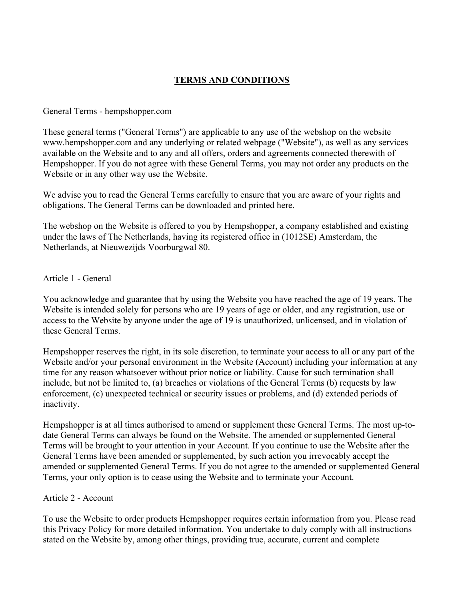# **TERMS AND CONDITIONS**

#### General Terms - hempshopper.com

These general terms ("General Terms") are applicable to any use of the webshop on the website www.hempshopper.com and any underlying or related webpage ("Website"), as well as any services available on the Website and to any and all offers, orders and agreements connected therewith of Hempshopper. If you do not agree with these General Terms, you may not order any products on the Website or in any other way use the Website.

We advise you to read the General Terms carefully to ensure that you are aware of your rights and obligations. The General Terms can be downloaded and printed here.

The webshop on the Website is offered to you by Hempshopper, a company established and existing under the laws of The Netherlands, having its registered office in (1012SE) Amsterdam, the Netherlands, at Nieuwezijds Voorburgwal 80.

#### Article 1 - General

You acknowledge and guarantee that by using the Website you have reached the age of 19 years. The Website is intended solely for persons who are 19 years of age or older, and any registration, use or access to the Website by anyone under the age of 19 is unauthorized, unlicensed, and in violation of these General Terms.

Hempshopper reserves the right, in its sole discretion, to terminate your access to all or any part of the Website and/or your personal environment in the Website (Account) including your information at any time for any reason whatsoever without prior notice or liability. Cause for such termination shall include, but not be limited to, (a) breaches or violations of the General Terms (b) requests by law enforcement, (c) unexpected technical or security issues or problems, and (d) extended periods of inactivity.

Hempshopper is at all times authorised to amend or supplement these General Terms. The most up-todate General Terms can always be found on the Website. The amended or supplemented General Terms will be brought to your attention in your Account. If you continue to use the Website after the General Terms have been amended or supplemented, by such action you irrevocably accept the amended or supplemented General Terms. If you do not agree to the amended or supplemented General Terms, your only option is to cease using the Website and to terminate your Account.

### Article 2 - Account

To use the Website to order products Hempshopper requires certain information from you. Please read this Privacy Policy for more detailed information. You undertake to duly comply with all instructions stated on the Website by, among other things, providing true, accurate, current and complete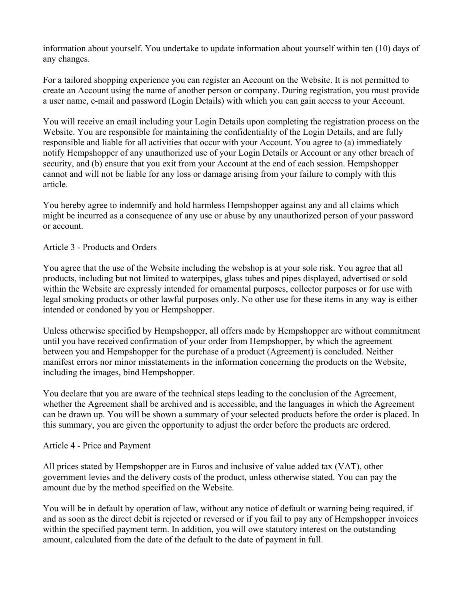information about yourself. You undertake to update information about yourself within ten (10) days of any changes.

For a tailored shopping experience you can register an Account on the Website. It is not permitted to create an Account using the name of another person or company. During registration, you must provide a user name, e-mail and password (Login Details) with which you can gain access to your Account.

You will receive an email including your Login Details upon completing the registration process on the Website. You are responsible for maintaining the confidentiality of the Login Details, and are fully responsible and liable for all activities that occur with your Account. You agree to (a) immediately notify Hempshopper of any unauthorized use of your Login Details or Account or any other breach of security, and (b) ensure that you exit from your Account at the end of each session. Hempshopper cannot and will not be liable for any loss or damage arising from your failure to comply with this article.

You hereby agree to indemnify and hold harmless Hempshopper against any and all claims which might be incurred as a consequence of any use or abuse by any unauthorized person of your password or account.

# Article 3 - Products and Orders

You agree that the use of the Website including the webshop is at your sole risk. You agree that all products, including but not limited to waterpipes, glass tubes and pipes displayed, advertised or sold within the Website are expressly intended for ornamental purposes, collector purposes or for use with legal smoking products or other lawful purposes only. No other use for these items in any way is either intended or condoned by you or Hempshopper.

Unless otherwise specified by Hempshopper, all offers made by Hempshopper are without commitment until you have received confirmation of your order from Hempshopper, by which the agreement between you and Hempshopper for the purchase of a product (Agreement) is concluded. Neither manifest errors nor minor misstatements in the information concerning the products on the Website, including the images, bind Hempshopper.

You declare that you are aware of the technical steps leading to the conclusion of the Agreement, whether the Agreement shall be archived and is accessible, and the languages in which the Agreement can be drawn up. You will be shown a summary of your selected products before the order is placed. In this summary, you are given the opportunity to adjust the order before the products are ordered.

### Article 4 - Price and Payment

All prices stated by Hempshopper are in Euros and inclusive of value added tax (VAT), other government levies and the delivery costs of the product, unless otherwise stated. You can pay the amount due by the method specified on the Website.

You will be in default by operation of law, without any notice of default or warning being required, if and as soon as the direct debit is rejected or reversed or if you fail to pay any of Hempshopper invoices within the specified payment term. In addition, you will owe statutory interest on the outstanding amount, calculated from the date of the default to the date of payment in full.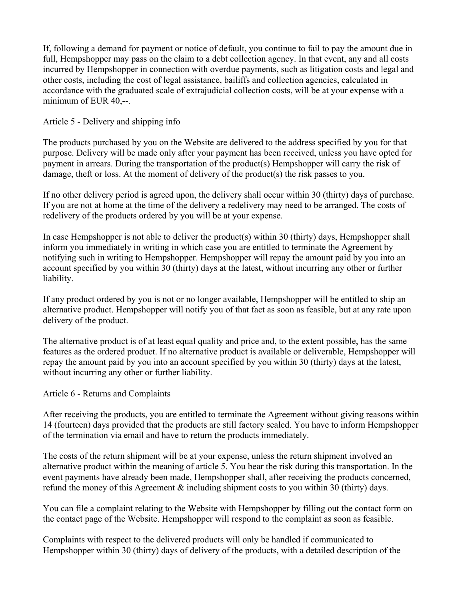If, following a demand for payment or notice of default, you continue to fail to pay the amount due in full, Hempshopper may pass on the claim to a debt collection agency. In that event, any and all costs incurred by Hempshopper in connection with overdue payments, such as litigation costs and legal and other costs, including the cost of legal assistance, bailiffs and collection agencies, calculated in accordance with the graduated scale of extrajudicial collection costs, will be at your expense with a minimum of EUR 40,--.

Article 5 - Delivery and shipping info

The products purchased by you on the Website are delivered to the address specified by you for that purpose. Delivery will be made only after your payment has been received, unless you have opted for payment in arrears. During the transportation of the product(s) Hempshopper will carry the risk of damage, theft or loss. At the moment of delivery of the product(s) the risk passes to you.

If no other delivery period is agreed upon, the delivery shall occur within 30 (thirty) days of purchase. If you are not at home at the time of the delivery a redelivery may need to be arranged. The costs of redelivery of the products ordered by you will be at your expense.

In case Hempshopper is not able to deliver the product(s) within 30 (thirty) days, Hempshopper shall inform you immediately in writing in which case you are entitled to terminate the Agreement by notifying such in writing to Hempshopper. Hempshopper will repay the amount paid by you into an account specified by you within 30 (thirty) days at the latest, without incurring any other or further liability.

If any product ordered by you is not or no longer available, Hempshopper will be entitled to ship an alternative product. Hempshopper will notify you of that fact as soon as feasible, but at any rate upon delivery of the product.

The alternative product is of at least equal quality and price and, to the extent possible, has the same features as the ordered product. If no alternative product is available or deliverable, Hempshopper will repay the amount paid by you into an account specified by you within 30 (thirty) days at the latest, without incurring any other or further liability.

Article 6 - Returns and Complaints

After receiving the products, you are entitled to terminate the Agreement without giving reasons within 14 (fourteen) days provided that the products are still factory sealed. You have to inform Hempshopper of the termination via email and have to return the products immediately.

The costs of the return shipment will be at your expense, unless the return shipment involved an alternative product within the meaning of article 5. You bear the risk during this transportation. In the event payments have already been made, Hempshopper shall, after receiving the products concerned, refund the money of this Agreement & including shipment costs to you within 30 (thirty) days.

You can file a complaint relating to the Website with Hempshopper by filling out the contact form on the contact page of the Website. Hempshopper will respond to the complaint as soon as feasible.

Complaints with respect to the delivered products will only be handled if communicated to Hempshopper within 30 (thirty) days of delivery of the products, with a detailed description of the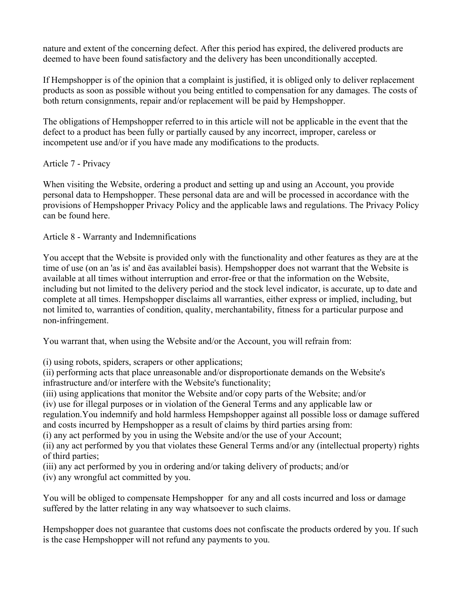nature and extent of the concerning defect. After this period has expired, the delivered products are deemed to have been found satisfactory and the delivery has been unconditionally accepted.

If Hempshopper is of the opinion that a complaint is justified, it is obliged only to deliver replacement products as soon as possible without you being entitled to compensation for any damages. The costs of both return consignments, repair and/or replacement will be paid by Hempshopper.

The obligations of Hempshopper referred to in this article will not be applicable in the event that the defect to a product has been fully or partially caused by any incorrect, improper, careless or incompetent use and/or if you have made any modifications to the products.

# Article 7 - Privacy

When visiting the Website, ordering a product and setting up and using an Account, you provide personal data to Hempshopper. These personal data are and will be processed in accordance with the provisions of Hempshopper Privacy Policy and the applicable laws and regulations. The Privacy Policy can be found here.

Article 8 - Warranty and Indemnifications

You accept that the Website is provided only with the functionality and other features as they are at the time of use (on an 'as is' and ëas availableí basis). Hempshopper does not warrant that the Website is available at all times without interruption and error-free or that the information on the Website, including but not limited to the delivery period and the stock level indicator, is accurate, up to date and complete at all times. Hempshopper disclaims all warranties, either express or implied, including, but not limited to, warranties of condition, quality, merchantability, fitness for a particular purpose and non-infringement.

You warrant that, when using the Website and/or the Account, you will refrain from:

(i) using robots, spiders, scrapers or other applications;

(ii) performing acts that place unreasonable and/or disproportionate demands on the Website's infrastructure and/or interfere with the Website's functionality;

(iii) using applications that monitor the Website and/or copy parts of the Website; and/or

(iv) use for illegal purposes or in violation of the General Terms and any applicable law or

regulation.You indemnify and hold harmless Hempshopper against all possible loss or damage suffered and costs incurred by Hempshopper as a result of claims by third parties arsing from:

(i) any act performed by you in using the Website and/or the use of your Account;

(ii) any act performed by you that violates these General Terms and/or any (intellectual property) rights of third parties;

- (iii) any act performed by you in ordering and/or taking delivery of products; and/or
- (iv) any wrongful act committed by you.

You will be obliged to compensate Hempshopper for any and all costs incurred and loss or damage suffered by the latter relating in any way whatsoever to such claims.

Hempshopper does not guarantee that customs does not confiscate the products ordered by you. If such is the case Hempshopper will not refund any payments to you.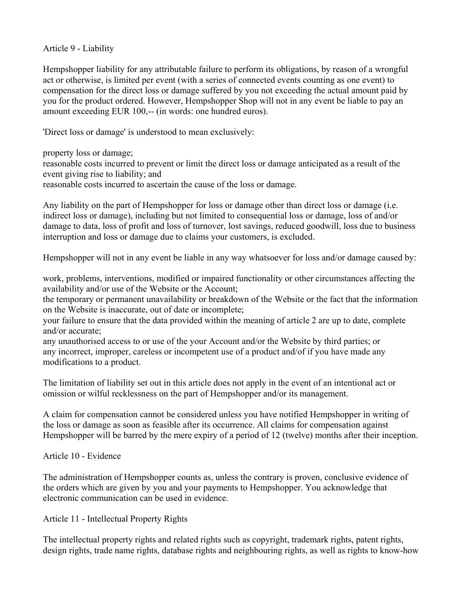Article 9 - Liability

Hempshopper liability for any attributable failure to perform its obligations, by reason of a wrongful act or otherwise, is limited per event (with a series of connected events counting as one event) to compensation for the direct loss or damage suffered by you not exceeding the actual amount paid by you for the product ordered. However, Hempshopper Shop will not in any event be liable to pay an amount exceeding EUR 100,-- (in words: one hundred euros).

'Direct loss or damage' is understood to mean exclusively:

property loss or damage;

reasonable costs incurred to prevent or limit the direct loss or damage anticipated as a result of the event giving rise to liability; and

reasonable costs incurred to ascertain the cause of the loss or damage.

Any liability on the part of Hempshopper for loss or damage other than direct loss or damage (i.e. indirect loss or damage), including but not limited to consequential loss or damage, loss of and/or damage to data, loss of profit and loss of turnover, lost savings, reduced goodwill, loss due to business interruption and loss or damage due to claims your customers, is excluded.

Hempshopper will not in any event be liable in any way whatsoever for loss and/or damage caused by:

work, problems, interventions, modified or impaired functionality or other circumstances affecting the availability and/or use of the Website or the Account;

the temporary or permanent unavailability or breakdown of the Website or the fact that the information on the Website is inaccurate, out of date or incomplete;

your failure to ensure that the data provided within the meaning of article 2 are up to date, complete and/or accurate;

any unauthorised access to or use of the your Account and/or the Website by third parties; or any incorrect, improper, careless or incompetent use of a product and/of if you have made any modifications to a product.

The limitation of liability set out in this article does not apply in the event of an intentional act or omission or wilful recklessness on the part of Hempshopper and/or its management.

A claim for compensation cannot be considered unless you have notified Hempshopper in writing of the loss or damage as soon as feasible after its occurrence. All claims for compensation against Hempshopper will be barred by the mere expiry of a period of 12 (twelve) months after their inception.

Article 10 - Evidence

The administration of Hempshopper counts as, unless the contrary is proven, conclusive evidence of the orders which are given by you and your payments to Hempshopper. You acknowledge that electronic communication can be used in evidence.

Article 11 - Intellectual Property Rights

The intellectual property rights and related rights such as copyright, trademark rights, patent rights, design rights, trade name rights, database rights and neighbouring rights, as well as rights to know-how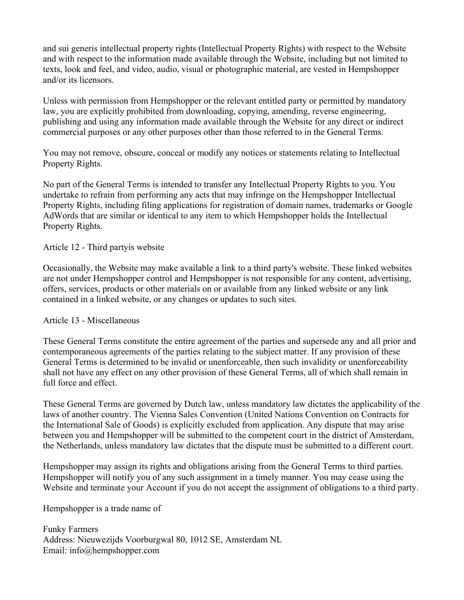and sui generis intellectual property rights (Intellectual Property Rights) with respect to the Website and with respect to the information made available through the Website, including but not limited to texts, look and feel, and video, audio, visual or photographic material, are vested in Hempshopper and/or its licensors.

Unless with permission from Hempshopper or the relevant entitled party or permitted by mandatory law, you are explicitly prohibited from downloading, copying, amending, reverse engineering, publishing and using any information made available through the Website for any direct or indirect commercial purposes or any other purposes other than those referred to in the General Terms.

You may not remove, obscure, conceal or modify any notices or statements relating to Intellectual Property Rights.

No part of the General Terms is intended to transfer any Intellectual Property Rights to you. You undertake to refrain from performing any acts that may infringe on the Hempshopper Intellectual Property Rights, including filing applications for registration of domain names, trademarks or Google AdWords that are similar or identical to any item to which Hempshopper holds the Intellectual Property Rights.

# Article 12 - Third partyís website

Occasionally, the Website may make available a link to a third party's website. These linked websites are not under Hempshopper control and Hempshopper is not responsible for any content, advertising, offers, services, products or other materials on or available from any linked website or any link contained in a linked website, or any changes or updates to such sites.

### Article 13 - Miscellaneous

These General Terms constitute the entire agreement of the parties and supersede any and all prior and contemporaneous agreements of the parties relating to the subject matter. If any provision of these General Terms is determined to be invalid or unenforceable, then such invalidity or unenforceability shall not have any effect on any other provision of these General Terms, all of which shall remain in full force and effect.

These General Terms are governed by Dutch law, unless mandatory law dictates the applicability of the laws of another country. The Vienna Sales Convention (United Nations Convention on Contracts for the International Sale of Goods) is explicitly excluded from application. Any dispute that may arise between you and Hempshopper will be submitted to the competent court in the district of Amsterdam, the Netherlands, unless mandatory law dictates that the dispute must be submitted to a different court.

Hempshopper may assign its rights and obligations arising from the General Terms to third parties. Hempshopper will notify you of any such assignment in a timely manner. You may cease using the Website and terminate your Account if you do not accept the assignment of obligations to a third party.

Hempshopper is a trade name of

Funky Farmers Address: Nieuwezijds Voorburgwal 80, 1012 SE, Amsterdam NL Email: info@hempshopper.com